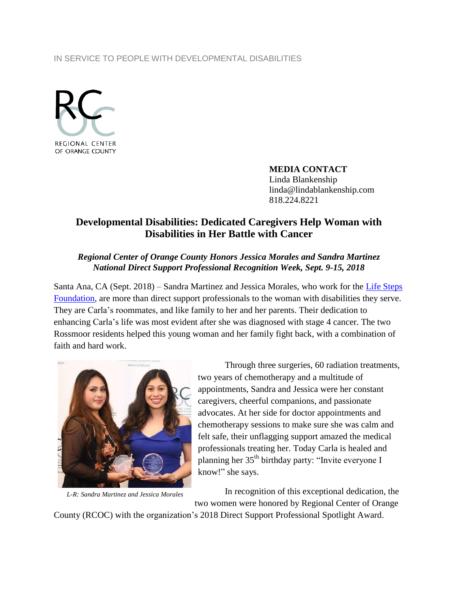#### IN SERVICE TO PEOPLE WITH DEVELOPMENTAL DISABILITIES



**MEDIA CONTACT** Linda Blankenship linda@lindablankenship.com 818.224.8221

# **Developmental Disabilities: Dedicated Caregivers Help Woman with Disabilities in Her Battle with Cancer**

### *Regional Center of Orange County Honors Jessica Morales and Sandra Martinez National Direct Support Professional Recognition Week, Sept. 9-15, 2018*

Santa Ana, CA (Sept. 2018) – Sandra Martinez and Jessica Morales, who work for the Life Steps [Foundation,](http://www.lifestepsfoundation.org/) are more than direct support professionals to the woman with disabilities they serve. They are Carla's roommates, and like family to her and her parents. Their dedication to enhancing Carla's life was most evident after she was diagnosed with stage 4 cancer. The two Rossmoor residents helped this young woman and her family fight back, with a combination of faith and hard work.



*L-R: Sandra Martinez and Jessica Morales*

Through three surgeries, 60 radiation treatments, two years of chemotherapy and a multitude of appointments, Sandra and Jessica were her constant caregivers, cheerful companions, and passionate advocates. At her side for doctor appointments and chemotherapy sessions to make sure she was calm and felt safe, their unflagging support amazed the medical professionals treating her. Today Carla is healed and planning her 35<sup>th</sup> birthday party: "Invite everyone I know!" she says.

In recognition of this exceptional dedication, the two women were honored by Regional Center of Orange

County (RCOC) with the organization's 2018 Direct Support Professional Spotlight Award.